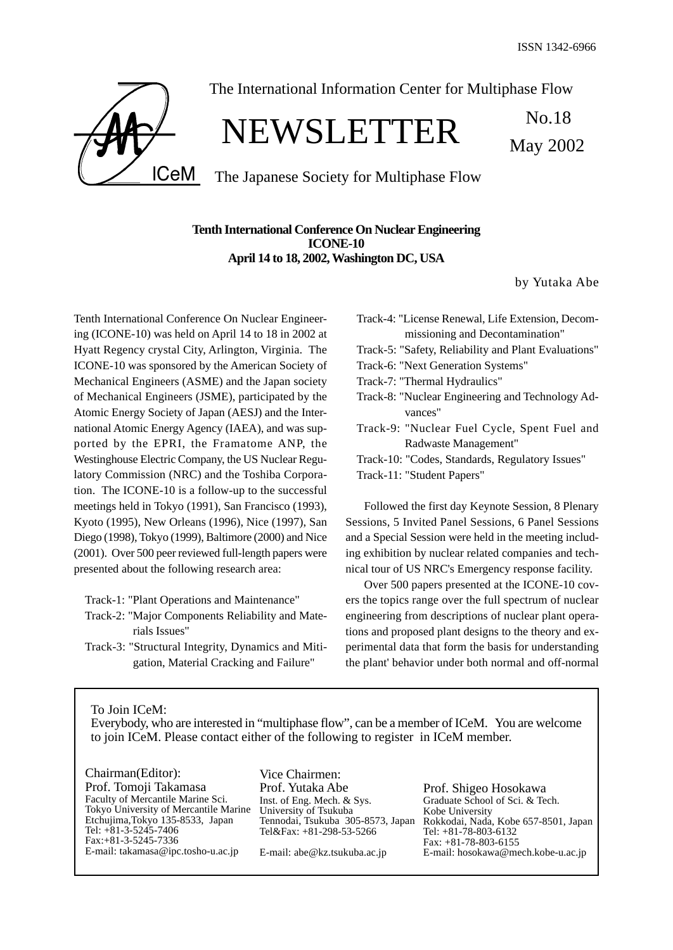May 2002

**ICeM** 

## The International Information Center for Multiphase Flow

# NEWSLETTER No.18

The Japanese Society for Multiphase Flow

#### **Tenth International Conference On Nuclear Engineering ICONE-10 April 14 to 18, 2002, Washington DC, USA**

by Yutaka Abe

Tenth International Conference On Nuclear Engineering (ICONE-10) was held on April 14 to 18 in 2002 at Hyatt Regency crystal City, Arlington, Virginia. The ICONE-10 was sponsored by the American Society of Mechanical Engineers (ASME) and the Japan society of Mechanical Engineers (JSME), participated by the Atomic Energy Society of Japan (AESJ) and the International Atomic Energy Agency (IAEA), and was supported by the EPRI, the Framatome ANP, the Westinghouse Electric Company, the US Nuclear Regulatory Commission (NRC) and the Toshiba Corporation. The ICONE-10 is a follow-up to the successful meetings held in Tokyo (1991), San Francisco (1993), Kyoto (1995), New Orleans (1996), Nice (1997), San Diego (1998), Tokyo (1999), Baltimore (2000) and Nice (2001). Over 500 peer reviewed full-length papers were presented about the following research area:

Track-1: "Plant Operations and Maintenance"

- Track-2: "Major Components Reliability and Materials Issues"
- Track-3: "Structural Integrity, Dynamics and Mitigation, Material Cracking and Failure"
- Track-4: "License Renewal, Life Extension, Decommissioning and Decontamination"
- Track-5: "Safety, Reliability and Plant Evaluations"
- Track-6: "Next Generation Systems"
- Track-7: "Thermal Hydraulics"
- Track-8: "Nuclear Engineering and Technology Advances"
- Track-9: "Nuclear Fuel Cycle, Spent Fuel and Radwaste Management"
- Track-10: "Codes, Standards, Regulatory Issues"

Track-11: "Student Papers"

Followed the first day Keynote Session, 8 Plenary Sessions, 5 Invited Panel Sessions, 6 Panel Sessions and a Special Session were held in the meeting including exhibition by nuclear related companies and technical tour of US NRC's Emergency response facility.

Over 500 papers presented at the ICONE-10 covers the topics range over the full spectrum of nuclear engineering from descriptions of nuclear plant operations and proposed plant designs to the theory and experimental data that form the basis for understanding the plant' behavior under both normal and off-normal

#### To Join ICeM:

Everybody, who are interested in "multiphase flow", can be a member of ICeM. You are welcome to join ICeM. Please contact either of the following to register in ICeM member.

Chairman(Editor): Prof. Tomoji Takamasa Faculty of Mercantile Marine Sci. Tokyo University of Mercantile Marine Etchujima,Tokyo 135-8533, Japan Tel: +81-3-5245-7406 Fax:+81-3-5245-7336 E-mail: takamasa@ipc.tosho-u.ac.jp

Vice Chairmen: Prof. Yutaka Abe Inst. of Eng. Mech. & Sys. University of Tsukuba Tennodai, Tsukuba 305-8573, Japan Tel&Fax: +81-298-53-5266

E-mail: abe@kz.tsukuba.ac.jp

Prof. Shigeo Hosokawa Graduate School of Sci. & Tech. Kobe University Rokkodai, Nada, Kobe 657-8501, Japan Tel: +81-78-803-6132 Fax: +81-78-803-6155 E-mail: hosokawa@mech.kobe-u.ac.jp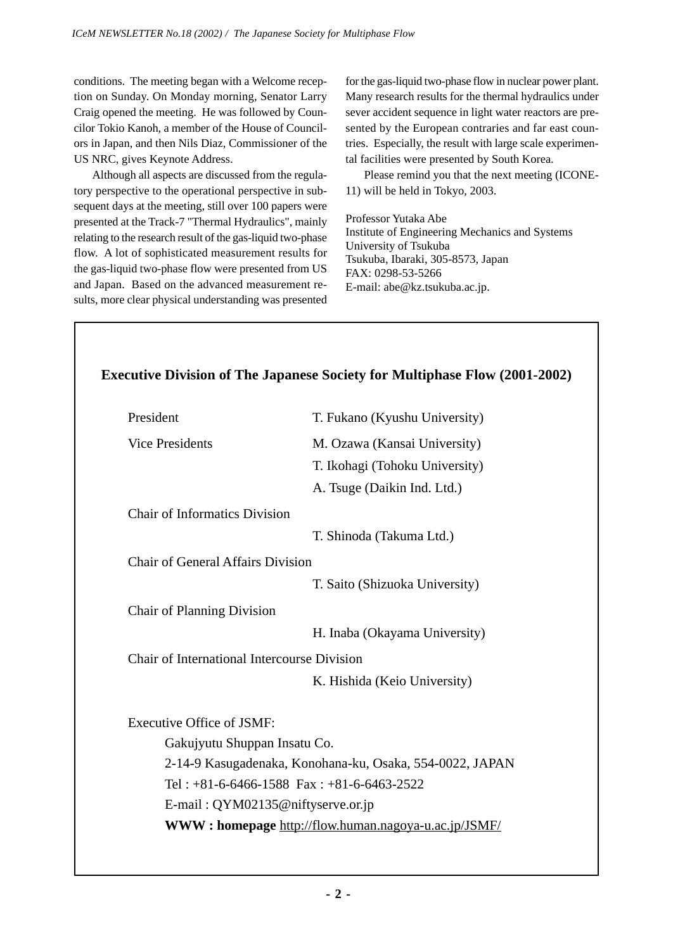conditions. The meeting began with a Welcome reception on Sunday. On Monday morning, Senator Larry Craig opened the meeting. He was followed by Councilor Tokio Kanoh, a member of the House of Councilors in Japan, and then Nils Diaz, Commissioner of the US NRC, gives Keynote Address.

Although all aspects are discussed from the regulatory perspective to the operational perspective in subsequent days at the meeting, still over 100 papers were presented at the Track-7 "Thermal Hydraulics", mainly relating to the research result of the gas-liquid two-phase flow. A lot of sophisticated measurement results for the gas-liquid two-phase flow were presented from US and Japan. Based on the advanced measurement results, more clear physical understanding was presented for the gas-liquid two-phase flow in nuclear power plant. Many research results for the thermal hydraulics under sever accident sequence in light water reactors are presented by the European contraries and far east countries. Especially, the result with large scale experimental facilities were presented by South Korea.

Please remind you that the next meeting (ICONE-11) will be held in Tokyo, 2003.

Professor Yutaka Abe Institute of Engineering Mechanics and Systems University of Tsukuba Tsukuba, Ibaraki, 305-8573, Japan FAX: 0298-53-5266 E-mail: abe@kz.tsukuba.ac.jp.

| President                                   | T. Fukano (Kyushu University)                            |
|---------------------------------------------|----------------------------------------------------------|
| <b>Vice Presidents</b>                      | M. Ozawa (Kansai University)                             |
|                                             | T. Ikohagi (Tohoku University)                           |
|                                             | A. Tsuge (Daikin Ind. Ltd.)                              |
| <b>Chair of Informatics Division</b>        |                                                          |
|                                             | T. Shinoda (Takuma Ltd.)                                 |
| <b>Chair of General Affairs Division</b>    |                                                          |
|                                             | T. Saito (Shizuoka University)                           |
| <b>Chair of Planning Division</b>           |                                                          |
|                                             | H. Inaba (Okayama University)                            |
| Chair of International Intercourse Division |                                                          |
|                                             | K. Hishida (Keio University)                             |
| Executive Office of JSMF:                   |                                                          |
| Gakujyutu Shuppan Insatu Co.                |                                                          |
|                                             | 2-14-9 Kasugadenaka, Konohana-ku, Osaka, 554-0022, JAPAN |
|                                             | Tel: $+81-6-6466-1588$ Fax: $+81-6-6463-2522$            |
|                                             | E-mail: QYM02135@niftyserve.or.jp                        |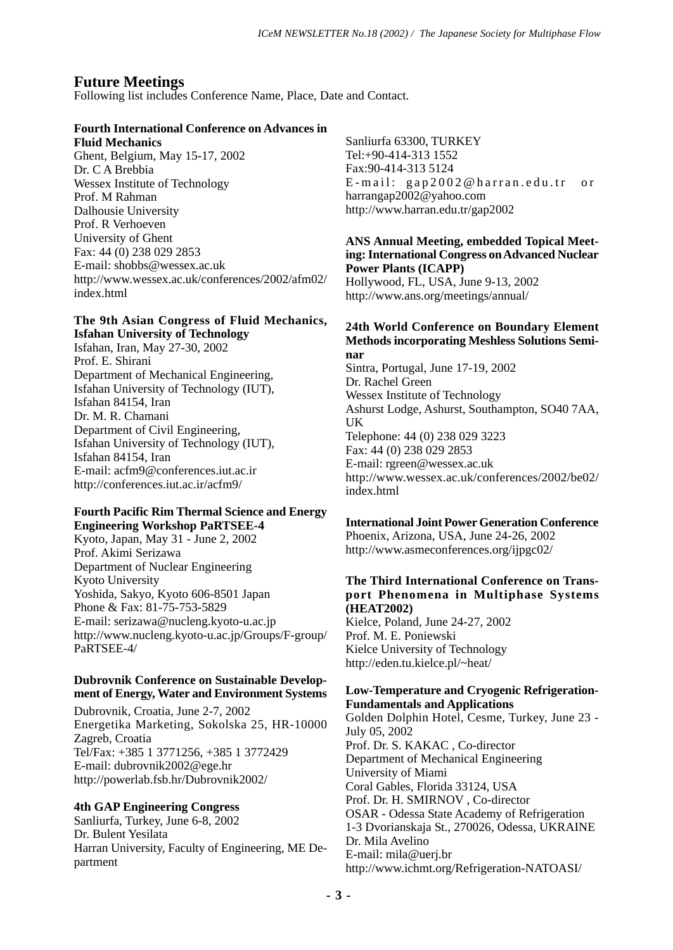# **Future Meetings**

Following list includes Conference Name, Place, Date and Contact.

## **Fourth International Conference on Advances in**

**Fluid Mechanics** Ghent, Belgium, May 15-17, 2002 Dr. C A Brebbia Wessex Institute of Technology Prof. M Rahman Dalhousie University Prof. R Verhoeven University of Ghent Fax: 44 (0) 238 029 2853 E-mail: shobbs@wessex.ac.uk http://www.wessex.ac.uk/conferences/2002/afm02/ index.html

#### **The 9th Asian Congress of Fluid Mechanics, Isfahan University of Technology**

Isfahan, Iran, May 27-30, 2002 Prof. E. Shirani Department of Mechanical Engineering, Isfahan University of Technology (IUT), Isfahan 84154, Iran Dr. M. R. Chamani Department of Civil Engineering, Isfahan University of Technology (IUT), Isfahan 84154, Iran E-mail: acfm9@conferences.iut.ac.ir http://conferences.iut.ac.ir/acfm9/

## **Fourth Pacific Rim Thermal Science and Energy Engineering Workshop PaRTSEE-4**

Kyoto, Japan, May 31 - June 2, 2002 Prof. Akimi Serizawa Department of Nuclear Engineering Kyoto University Yoshida, Sakyo, Kyoto 606-8501 Japan Phone & Fax: 81-75-753-5829 E-mail: serizawa@nucleng.kyoto-u.ac.jp http://www.nucleng.kyoto-u.ac.jp/Groups/F-group/ PaRTSEE-4/

## **Dubrovnik Conference on Sustainable Development of Energy, Water and Environment Systems**

Dubrovnik, Croatia, June 2-7, 2002 Energetika Marketing, Sokolska 25, HR-10000 Zagreb, Croatia Tel/Fax: +385 1 3771256, +385 1 3772429 E-mail: dubrovnik2002@ege.hr http://powerlab.fsb.hr/Dubrovnik2002/

## **4th GAP Engineering Congress**

Sanliurfa, Turkey, June 6-8, 2002 Dr. Bulent Yesilata Harran University, Faculty of Engineering, ME Department

Sanliurfa 63300, TURKEY Tel:+90-414-313 1552 Fax:90-414-313 5124  $E$ -mail: gap $2002@$ harran.edu.tr or harrangap2002@yahoo.com http://www.harran.edu.tr/gap2002

#### **ANS Annual Meeting, embedded Topical Meeting: International Congress on Advanced Nuclear Power Plants (ICAPP)**

Hollywood, FL, USA, June 9-13, 2002 http://www.ans.org/meetings/annual/

#### **24th World Conference on Boundary Element Methods incorporating Meshless Solutions Seminar**

Sintra, Portugal, June 17-19, 2002 Dr. Rachel Green Wessex Institute of Technology Ashurst Lodge, Ashurst, Southampton, SO40 7AA, UK Telephone: 44 (0) 238 029 3223 Fax: 44 (0) 238 029 2853 E-mail: rgreen@wessex.ac.uk http://www.wessex.ac.uk/conferences/2002/be02/ index.html

# **International Joint Power Generation Conference**

Phoenix, Arizona, USA, June 24-26, 2002 http://www.asmeconferences.org/ijpgc02/

#### **The Third International Conference on Transport Phenomena in Multiphase Systems (HEAT2002)**

Kielce, Poland, June 24-27, 2002 Prof. M. E. Poniewski Kielce University of Technology http://eden.tu.kielce.pl/~heat/

#### **Low-Temperature and Cryogenic Refrigeration-Fundamentals and Applications**

Golden Dolphin Hotel, Cesme, Turkey, June 23 - July 05, 2002 Prof. Dr. S. KAKAC , Co-director Department of Mechanical Engineering University of Miami Coral Gables, Florida 33124, USA Prof. Dr. H. SMIRNOV , Co-director OSAR - Odessa State Academy of Refrigeration 1-3 Dvorianskaja St., 270026, Odessa, UKRAINE Dr. Mila Avelino E-mail: mila@uerj.br http://www.ichmt.org/Refrigeration-NATOASI/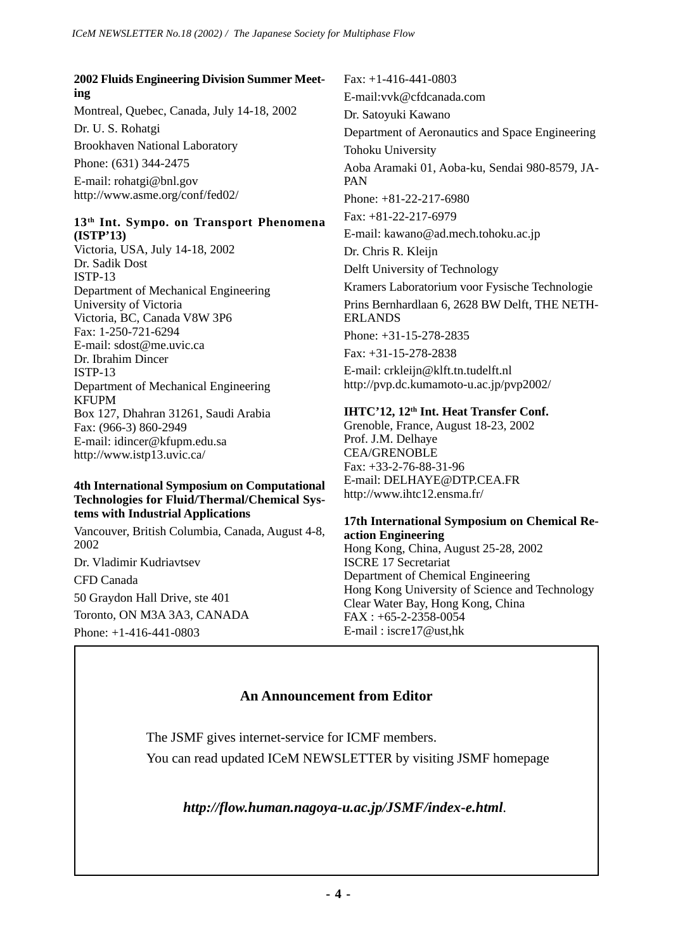#### **2002 Fluids Engineering Division Summer Meeting**

Montreal, Quebec, Canada, July 14-18, 2002

Dr. U. S. Rohatgi Brookhaven National Laboratory

Phone: (631) 344-2475

E-mail: rohatgi@bnl.gov http://www.asme.org/conf/fed02/

## **13th Int. Sympo. on Transport Phenomena (ISTP'13)**

Victoria, USA, July 14-18, 2002 Dr. Sadik Dost ISTP-13 Department of Mechanical Engineering University of Victoria Victoria, BC, Canada V8W 3P6 Fax: 1-250-721-6294 E-mail: sdost@me.uvic.ca Dr. Ibrahim Dincer ISTP-13 Department of Mechanical Engineering KFUPM Box 127, Dhahran 31261, Saudi Arabia Fax: (966-3) 860-2949 E-mail: idincer@kfupm.edu.sa http://www.istp13.uvic.ca/

#### **4th International Symposium on Computational Technologies for Fluid/Thermal/Chemical Systems with Industrial Applications**

Vancouver, British Columbia, Canada, August 4-8, 2002 Dr. Vladimir Kudriavtsev CFD Canada 50 Graydon Hall Drive, ste 401 Toronto, ON M3A 3A3, CANADA Phone: +1-416-441-0803

Fax: +1-416-441-0803 E-mail:vvk@cfdcanada.com Dr. Satoyuki Kawano Department of Aeronautics and Space Engineering Tohoku University Aoba Aramaki 01, Aoba-ku, Sendai 980-8579, JA-PAN Phone: +81-22-217-6980 Fax: +81-22-217-6979 E-mail: kawano@ad.mech.tohoku.ac.jp Dr. Chris R. Kleijn Delft University of Technology Kramers Laboratorium voor Fysische Technologie Prins Bernhardlaan 6, 2628 BW Delft, THE NETH-ERLANDS Phone: +31-15-278-2835 Fax: +31-15-278-2838 E-mail: crkleijn@klft.tn.tudelft.nl http://pvp.dc.kumamoto-u.ac.jp/pvp2002/

## **IHTC'12, 12th Int. Heat Transfer Conf.**

Grenoble, France, August 18-23, 2002 Prof. J.M. Delhaye CEA/GRENOBLE Fax: +33-2-76-88-31-96 E-mail: DELHAYE@DTP.CEA.FR http://www.ihtc12.ensma.fr/

#### **17th International Symposium on Chemical Reaction Engineering**

Hong Kong, China, August 25-28, 2002 ISCRE 17 Secretariat Department of Chemical Engineering Hong Kong University of Science and Technology Clear Water Bay, Hong Kong, China FAX : +65-2-2358-0054 E-mail : iscre17@ust,hk

# **An Announcement from Editor**

The JSMF gives internet-service for ICMF members.

You can read updated ICeM NEWSLETTER by visiting JSMF homepage

 *http://flow.human.nagoya-u.ac.jp/JSMF/index-e.html*.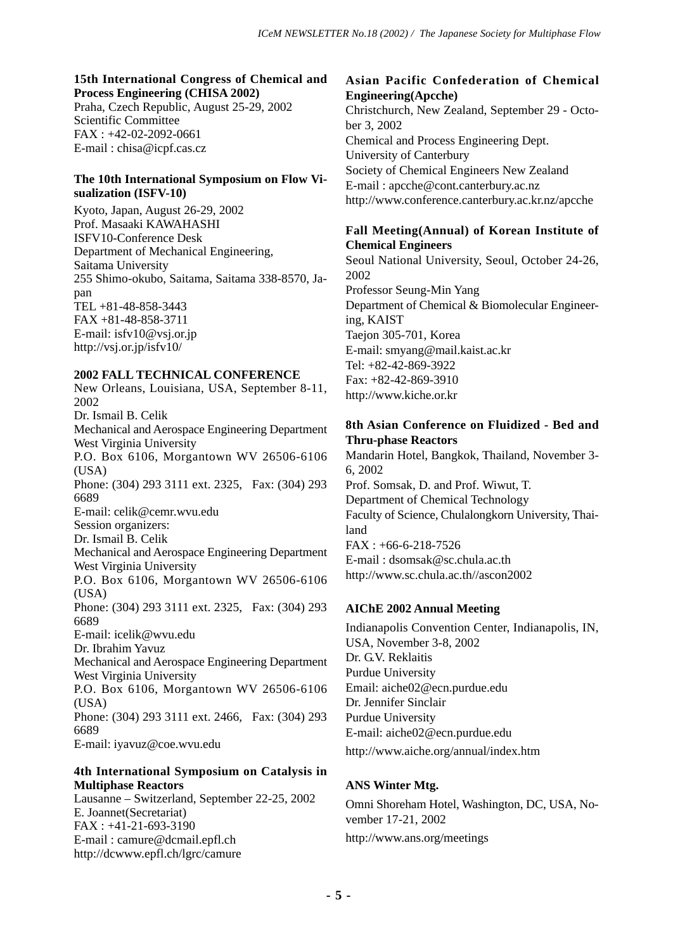# **15th International Congress of Chemical and Process Engineering (CHISA 2002)**

Praha, Czech Republic, August 25-29, 2002 Scientific Committee FAX : +42-02-2092-0661 E-mail : chisa@icpf.cas.cz

#### **The 10th International Symposium on Flow Visualization (ISFV-10)**

Kyoto, Japan, August 26-29, 2002 Prof. Masaaki KAWAHASHI ISFV10-Conference Desk Department of Mechanical Engineering, Saitama University 255 Shimo-okubo, Saitama, Saitama 338-8570, Japan TEL +81-48-858-3443 FAX +81-48-858-3711 E-mail: isfv10@vsj.or.jp http://vsj.or.jp/isfv10/

## **2002 FALL TECHNICAL CONFERENCE**

New Orleans, Louisiana, USA, September 8-11, 2002 Dr. Ismail B. Celik Mechanical and Aerospace Engineering Department West Virginia University P.O. Box 6106, Morgantown WV 26506-6106 (USA) Phone: (304) 293 3111 ext. 2325, Fax: (304) 293 6689 E-mail: celik@cemr.wvu.edu Session organizers: Dr. Ismail B. Celik Mechanical and Aerospace Engineering Department West Virginia University P.O. Box 6106, Morgantown WV 26506-6106 (USA) Phone: (304) 293 3111 ext. 2325, Fax: (304) 293 6689 E-mail: icelik@wvu.edu Dr. Ibrahim Yavuz Mechanical and Aerospace Engineering Department West Virginia University P.O. Box 6106, Morgantown WV 26506-6106 (USA) Phone: (304) 293 3111 ext. 2466, Fax: (304) 293 6689 E-mail: iyavuz@coe.wvu.edu

#### **4th International Symposium on Catalysis in Multiphase Reactors**

Lausanne – Switzerland, September 22-25, 2002 E. Joannet(Secretariat) FAX : +41-21-693-3190 E-mail : camure@dcmail.epfl.ch http://dcwww.epfl.ch/lgrc/camure

#### **Asian Pacific Confederation of Chemical Engineering(Apcche)**

Christchurch, New Zealand, September 29 - October 3, 2002 Chemical and Process Engineering Dept. University of Canterbury Society of Chemical Engineers New Zealand E-mail : apcche@cont.canterbury.ac.nz http://www.conference.canterbury.ac.kr.nz/apcche

#### **Fall Meeting(Annual) of Korean Institute of Chemical Engineers**

Seoul National University, Seoul, October 24-26, 2002 Professor Seung-Min Yang Department of Chemical & Biomolecular Engineering, KAIST Taejon 305-701, Korea E-mail: smyang@mail.kaist.ac.kr Tel: +82-42-869-3922 Fax: +82-42-869-3910 http://www.kiche.or.kr

## **8th Asian Conference on Fluidized - Bed and Thru-phase Reactors**

Mandarin Hotel, Bangkok, Thailand, November 3- 6, 2002 Prof. Somsak, D. and Prof. Wiwut, T. Department of Chemical Technology Faculty of Science, Chulalongkorn University, Thailand FAX : +66-6-218-7526 E-mail : dsomsak@sc.chula.ac.th http://www.sc.chula.ac.th//ascon2002

## **AIChE 2002 Annual Meeting**

Indianapolis Convention Center, Indianapolis, IN, USA, November 3-8, 2002 Dr. G.V. Reklaitis Purdue University Email: aiche02@ecn.purdue.edu Dr. Jennifer Sinclair Purdue University E-mail: aiche02@ecn.purdue.edu

http://www.aiche.org/annual/index.htm

# **ANS Winter Mtg.**

Omni Shoreham Hotel, Washington, DC, USA, November 17-21, 2002 http://www.ans.org/meetings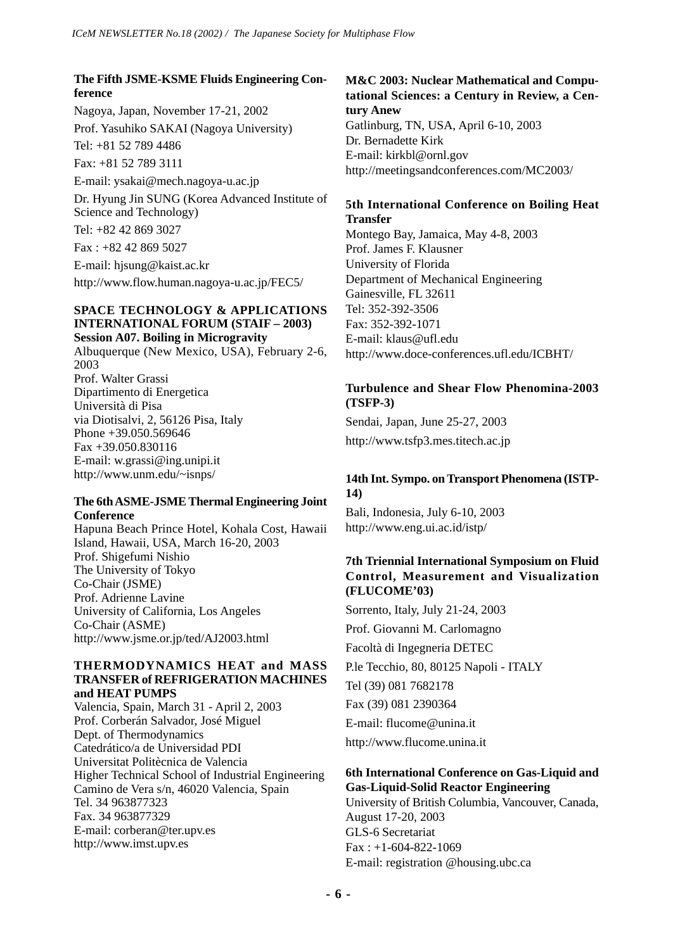#### **The Fifth JSME-KSME Fluids Engineering Conference**

Nagoya, Japan, November 17-21, 2002

Prof. Yasuhiko SAKAI (Nagoya University)

Tel: +81 52 789 4486

Fax: +81 52 789 3111

E-mail: ysakai@mech.nagoya-u.ac.jp

Dr. Hyung Jin SUNG (Korea Advanced Institute of Science and Technology)

Tel: +82 42 869 3027

Fax : +82 42 869 5027

E-mail: hjsung@kaist.ac.kr http://www.flow.human.nagoya-u.ac.jp/FEC5/

#### **SPACE TECHNOLOGY & APPLICATIONS INTERNATIONAL FORUM (STAIF – 2003) Session A07. Boiling in Microgravity**

Albuquerque (New Mexico, USA), February 2-6, 2003 Prof. Walter Grassi Dipartimento di Energetica Università di Pisa via Diotisalvi, 2, 56126 Pisa, Italy Phone +39.050.569646 Fax +39.050.830116 E-mail: w.grassi@ing.unipi.it http://www.unm.edu/~isnps/

#### **The 6th ASME-JSME Thermal Engineering Joint Conference**

Hapuna Beach Prince Hotel, Kohala Cost, Hawaii Island, Hawaii, USA, March 16-20, 2003 Prof. Shigefumi Nishio The University of Tokyo Co-Chair (JSME) Prof. Adrienne Lavine University of California, Los Angeles Co-Chair (ASME) http://www.jsme.or.jp/ted/AJ2003.html

#### **THERMODYNAMICS HEAT and MASS TRANSFER of REFRIGERATION MACHINES and HEAT PUMPS**

Valencia, Spain, March 31 - April 2, 2003 Prof. Corberán Salvador, José Miguel Dept. of Thermodynamics Catedrático/a de Universidad PDI Universitat Politècnica de Valencia Higher Technical School of Industrial Engineering Camino de Vera s/n, 46020 Valencia, Spain Tel. 34 963877323 Fax. 34 963877329 E-mail: corberan@ter.upv.es http://www.imst.upv.es

## **M&C 2003: Nuclear Mathematical and Computational Sciences: a Century in Review, a Century Anew** Gatlinburg, TN, USA, April 6-10, 2003 Dr. Bernadette Kirk

E-mail: kirkbl@ornl.gov http://meetingsandconferences.com/MC2003/

## **5th International Conference on Boiling Heat Transfer**

Montego Bay, Jamaica, May 4-8, 2003 Prof. James F. Klausner University of Florida Department of Mechanical Engineering Gainesville, FL 32611 Tel: 352-392-3506 Fax: 352-392-1071 E-mail: klaus@ufl.edu http://www.doce-conferences.ufl.edu/ICBHT/

## **Turbulence and Shear Flow Phenomina-2003 (TSFP-3)**

Sendai, Japan, June 25-27, 2003 http://www.tsfp3.mes.titech.ac.jp

## **14th Int. Sympo. on Transport Phenomena (ISTP-14)**

Bali, Indonesia, July 6-10, 2003 http://www.eng.ui.ac.id/istp/

## **7th Triennial International Symposium on Fluid Control, Measurement and Visualization (FLUCOME'03)**

Sorrento, Italy, July 21-24, 2003 Prof. Giovanni M. Carlomagno Facoltà di Ingegneria DETEC P.le Tecchio, 80, 80125 Napoli - ITALY Tel (39) 081 7682178

Fax (39) 081 2390364

E-mail: flucome@unina.it

http://www.flucome.unina.it

# **6th International Conference on Gas-Liquid and Gas-Liquid-Solid Reactor Engineering**

University of British Columbia, Vancouver, Canada, August 17-20, 2003 GLS-6 Secretariat Fax : +1-604-822-1069 E-mail: registration @housing.ubc.ca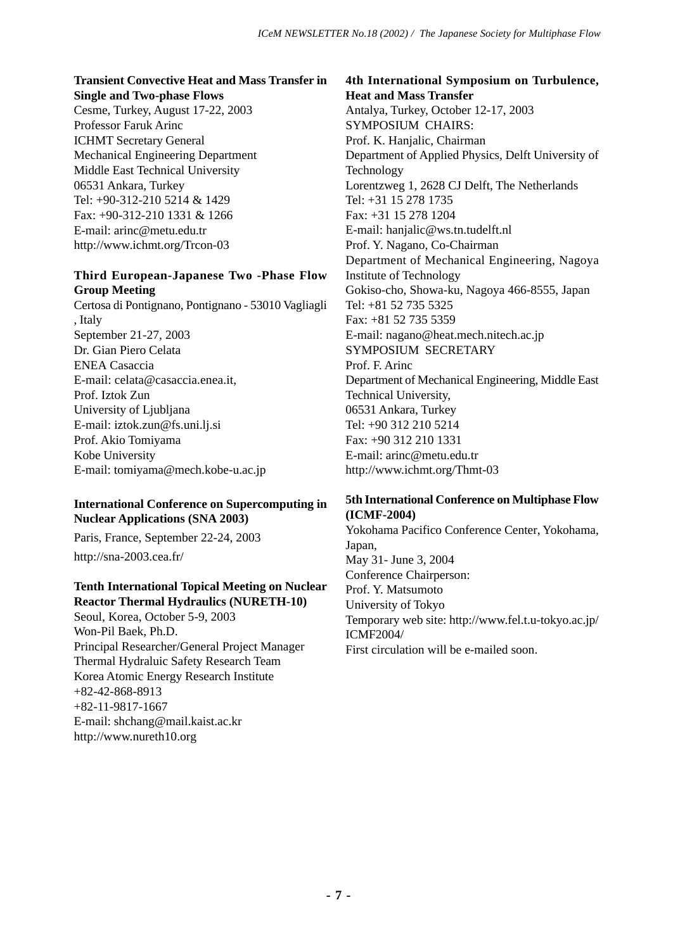# **Transient Convective Heat and Mass Transfer in**

**Single and Two-phase Flows** Cesme, Turkey, August 17-22, 2003 Professor Faruk Arinc ICHMT Secretary General Mechanical Engineering Department Middle East Technical University 06531 Ankara, Turkey Tel: +90-312-210 5214 & 1429 Fax: +90-312-210 1331 & 1266 E-mail: arinc@metu.edu.tr http://www.ichmt.org/Trcon-03

#### **Third European-Japanese Two -Phase Flow Group Meeting**

Certosa di Pontignano, Pontignano - 53010 Vagliagli , Italy September 21-27, 2003 Dr. Gian Piero Celata ENEA Casaccia E-mail: celata@casaccia.enea.it, Prof. Iztok Zun University of Ljubljana E-mail: iztok.zun@fs.uni.lj.si Prof. Akio Tomiyama Kobe University E-mail: tomiyama@mech.kobe-u.ac.jp

## **International Conference on Supercomputing in Nuclear Applications (SNA 2003)**

Paris, France, September 22-24, 2003 http://sna-2003.cea.fr/

## **Tenth International Topical Meeting on Nuclear Reactor Thermal Hydraulics (NURETH-10)**

Seoul, Korea, October 5-9, 2003 Won-Pil Baek, Ph.D. Principal Researcher/General Project Manager Thermal Hydraluic Safety Research Team Korea Atomic Energy Research Institute +82-42-868-8913 +82-11-9817-1667 E-mail: shchang@mail.kaist.ac.kr http://www.nureth10.org

## **4th International Symposium on Turbulence, Heat and Mass Transfer** Antalya, Turkey, October 12-17, 2003 SYMPOSIUM CHAIRS: Prof. K. Hanjalic, Chairman Department of Applied Physics, Delft University of Technology Lorentzweg 1, 2628 CJ Delft, The Netherlands Tel: +31 15 278 1735 Fax: +31 15 278 1204 E-mail: hanjalic@ws.tn.tudelft.nl Prof. Y. Nagano, Co-Chairman Department of Mechanical Engineering, Nagoya Institute of Technology Gokiso-cho, Showa-ku, Nagoya 466-8555, Japan Tel:  $+81$  52 735 5325 Fax: +81 52 735 5359 E-mail: nagano@heat.mech.nitech.ac.jp SYMPOSIUM SECRETARY Prof. F. Arinc Department of Mechanical Engineering, Middle East Technical University, 06531 Ankara, Turkey Tel: +90 312 210 5214 Fax: +90 312 210 1331 E-mail: arinc@metu.edu.tr http://www.ichmt.org/Thmt-03

## **5th International Conference on Multiphase Flow (ICMF-2004)**

Yokohama Pacifico Conference Center, Yokohama, Japan, May 31- June 3, 2004 Conference Chairperson: Prof. Y. Matsumoto University of Tokyo Temporary web site: http://www.fel.t.u-tokyo.ac.jp/ ICMF2004/ First circulation will be e-mailed soon.